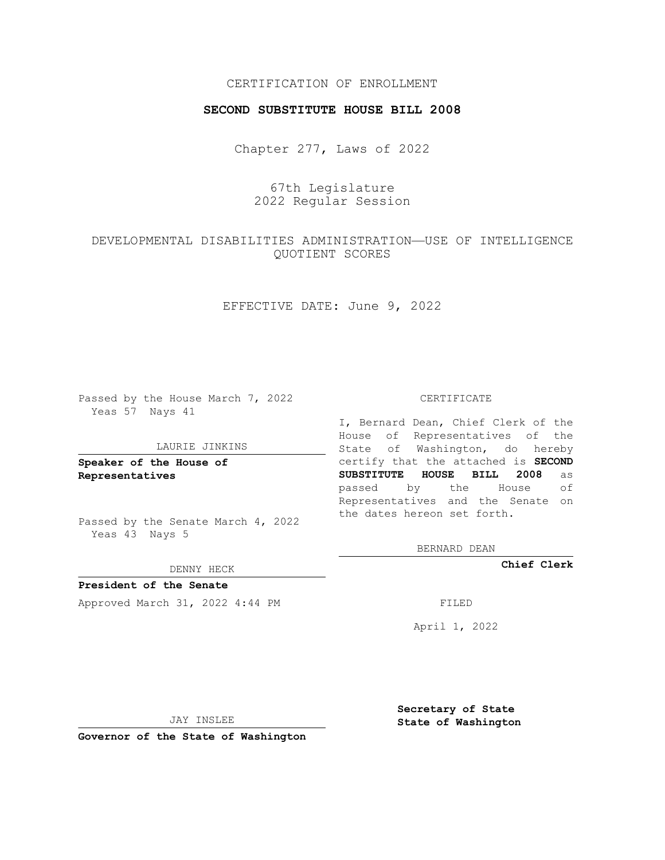## CERTIFICATION OF ENROLLMENT

### **SECOND SUBSTITUTE HOUSE BILL 2008**

Chapter 277, Laws of 2022

67th Legislature 2022 Regular Session

## DEVELOPMENTAL DISABILITIES ADMINISTRATION—USE OF INTELLIGENCE QUOTIENT SCORES

EFFECTIVE DATE: June 9, 2022

Passed by the House March 7, 2022 Yeas 57 Nays 41

#### LAURIE JINKINS

**Speaker of the House of Representatives**

Passed by the Senate March 4, 2022 Yeas 43 Nays 5

#### DENNY HECK

**President of the Senate** Approved March 31, 2022 4:44 PM FILED

CERTIFICATE

I, Bernard Dean, Chief Clerk of the House of Representatives of the State of Washington, do hereby certify that the attached is **SECOND SUBSTITUTE HOUSE BILL 2008** as passed by the House of Representatives and the Senate on the dates hereon set forth.

BERNARD DEAN

**Chief Clerk**

April 1, 2022

JAY INSLEE

**Governor of the State of Washington**

**Secretary of State State of Washington**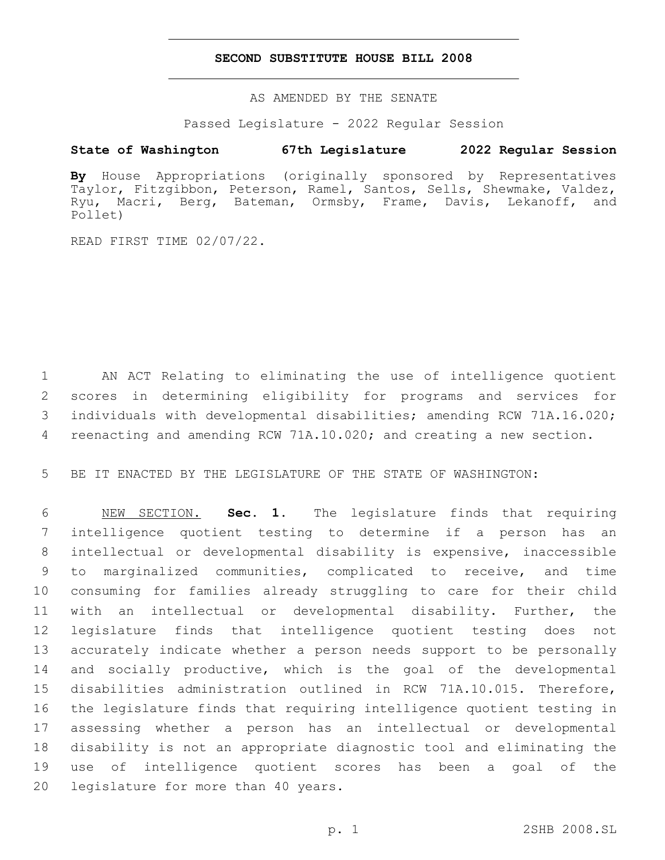### **SECOND SUBSTITUTE HOUSE BILL 2008**

AS AMENDED BY THE SENATE

Passed Legislature - 2022 Regular Session

# **State of Washington 67th Legislature 2022 Regular Session**

**By** House Appropriations (originally sponsored by Representatives Taylor, Fitzgibbon, Peterson, Ramel, Santos, Sells, Shewmake, Valdez, Ryu, Macri, Berg, Bateman, Ormsby, Frame, Davis, Lekanoff, and Pollet)

READ FIRST TIME 02/07/22.

 AN ACT Relating to eliminating the use of intelligence quotient scores in determining eligibility for programs and services for individuals with developmental disabilities; amending RCW 71A.16.020; 4 reenacting and amending RCW 71A.10.020; and creating a new section.

BE IT ENACTED BY THE LEGISLATURE OF THE STATE OF WASHINGTON:

 NEW SECTION. **Sec. 1.** The legislature finds that requiring intelligence quotient testing to determine if a person has an intellectual or developmental disability is expensive, inaccessible to marginalized communities, complicated to receive, and time consuming for families already struggling to care for their child with an intellectual or developmental disability. Further, the legislature finds that intelligence quotient testing does not accurately indicate whether a person needs support to be personally and socially productive, which is the goal of the developmental disabilities administration outlined in RCW 71A.10.015. Therefore, the legislature finds that requiring intelligence quotient testing in assessing whether a person has an intellectual or developmental disability is not an appropriate diagnostic tool and eliminating the use of intelligence quotient scores has been a goal of the legislature for more than 40 years.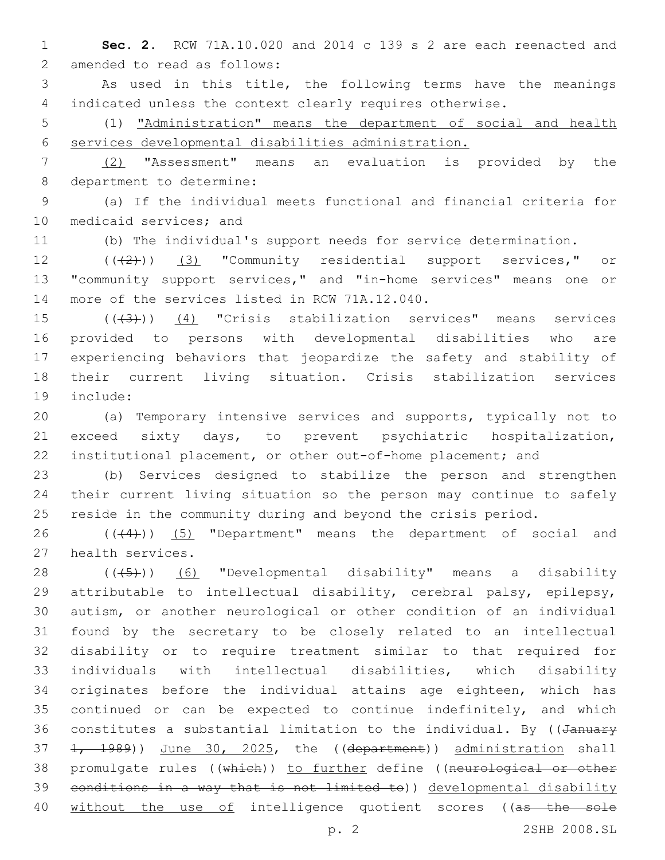**Sec. 2.** RCW 71A.10.020 and 2014 c 139 s 2 are each reenacted and 2 amended to read as follows:

 As used in this title, the following terms have the meanings indicated unless the context clearly requires otherwise.

 (1) "Administration" means the department of social and health services developmental disabilities administration.

 (2) "Assessment" means an evaluation is provided by the 8 department to determine:

 (a) If the individual meets functional and financial criteria for 10 medicaid services; and

(b) The individual's support needs for service determination.

12 (((2)) (3) "Community residential support services," or "community support services," and "in-home services" means one or 14 more of the services listed in RCW 71A.12.040.

 $((43))$  (4) "Crisis stabilization services" means services provided to persons with developmental disabilities who are experiencing behaviors that jeopardize the safety and stability of their current living situation. Crisis stabilization services 19 include:

 (a) Temporary intensive services and supports, typically not to exceed sixty days, to prevent psychiatric hospitalization, institutional placement, or other out-of-home placement; and

 (b) Services designed to stabilize the person and strengthen their current living situation so the person may continue to safely reside in the community during and beyond the crisis period.

26  $((+4))$   $(5)$  "Department" means the department of social and 27 health services.

28 (((5)) (6) "Developmental disability" means a disability attributable to intellectual disability, cerebral palsy, epilepsy, autism, or another neurological or other condition of an individual found by the secretary to be closely related to an intellectual disability or to require treatment similar to that required for individuals with intellectual disabilities, which disability originates before the individual attains age eighteen, which has continued or can be expected to continue indefinitely, and which 36 constitutes a substantial limitation to the individual. By ((January 37 1, 1989)) June 30, 2025, the ((department)) administration shall 38 promulgate rules ((which)) to further define ((neurological or other conditions in a way that is not limited to)) developmental disability 40 without the use of intelligence quotient scores ((as the sole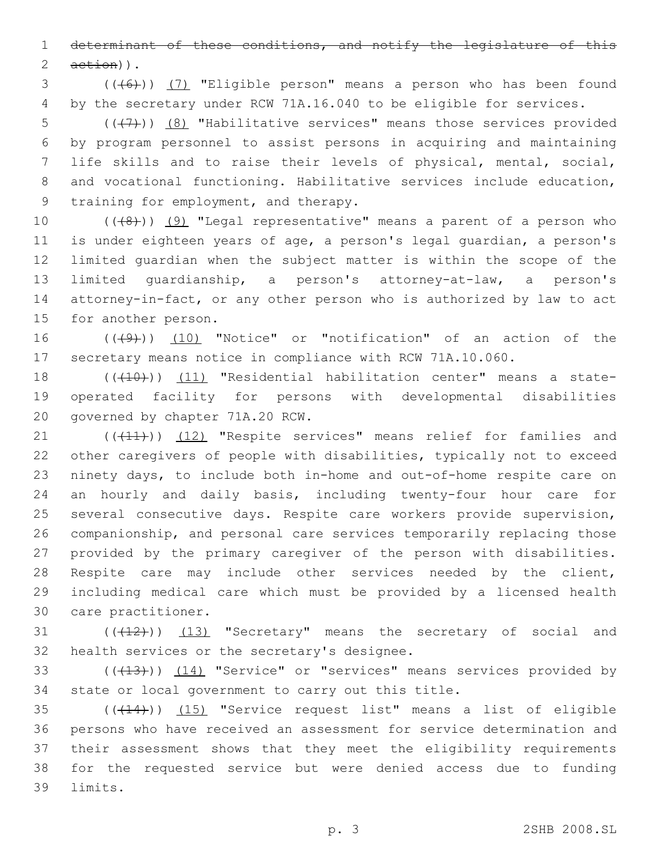determinant of these conditions, and notify the legislature of this  $2 \quad \text{aetion}$ ).

 (((6))) (7) "Eligible person" means a person who has been found by the secretary under RCW 71A.16.040 to be eligible for services.

 $((+7)$ )  $(8)$  "Habilitative services" means those services provided by program personnel to assist persons in acquiring and maintaining life skills and to raise their levels of physical, mental, social, and vocational functioning. Habilitative services include education, 9 training for employment, and therapy.

 $((+8+))$   $(9)$  "Legal representative" means a parent of a person who is under eighteen years of age, a person's legal guardian, a person's limited guardian when the subject matter is within the scope of the limited guardianship, a person's attorney-at-law, a person's attorney-in-fact, or any other person who is authorized by law to act 15 for another person.

16 (((49))) (10) "Notice" or "notification" of an action of the secretary means notice in compliance with RCW 71A.10.060.

18 (((10))) (11) "Residential habilitation center" means a state- operated facility for persons with developmental disabilities 20 governed by chapter 71A.20 RCW.

21 (((41))) (12) "Respite services" means relief for families and other caregivers of people with disabilities, typically not to exceed ninety days, to include both in-home and out-of-home respite care on an hourly and daily basis, including twenty-four hour care for several consecutive days. Respite care workers provide supervision, companionship, and personal care services temporarily replacing those provided by the primary caregiver of the person with disabilities. Respite care may include other services needed by the client, including medical care which must be provided by a licensed health 30 care practitioner.

 $((+12))$   $(13)$  "Secretary" means the secretary of social and 32 health services or the secretary's designee.

33 (((413))) (14) "Service" or "services" means services provided by state or local government to carry out this title.

 (((14))) (15) "Service request list" means a list of eligible persons who have received an assessment for service determination and their assessment shows that they meet the eligibility requirements for the requested service but were denied access due to funding 39 limits.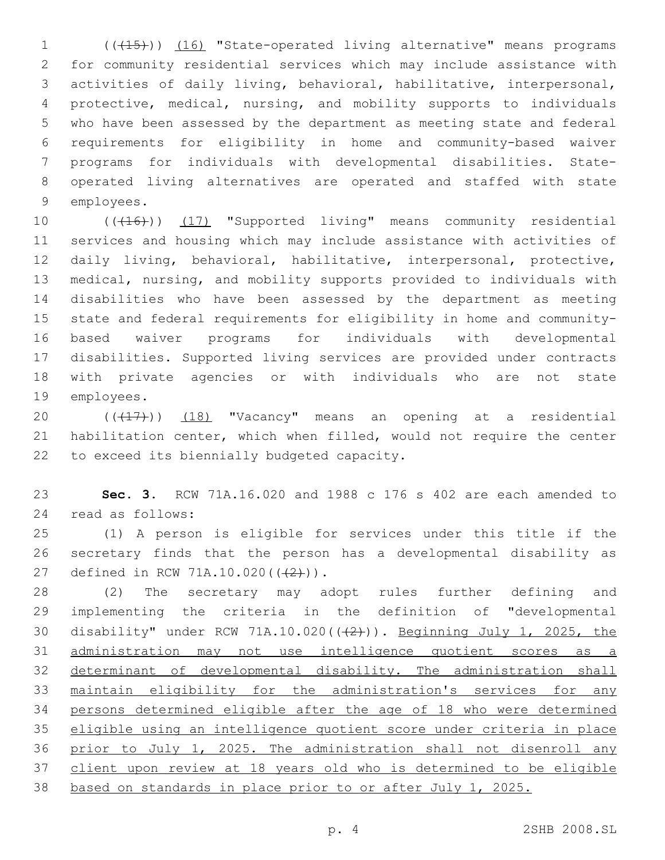1 (( $(15)$ )) (16) "State-operated living alternative" means programs for community residential services which may include assistance with activities of daily living, behavioral, habilitative, interpersonal, protective, medical, nursing, and mobility supports to individuals who have been assessed by the department as meeting state and federal requirements for eligibility in home and community-based waiver programs for individuals with developmental disabilities. State- operated living alternatives are operated and staffed with state 9 employees.

10 (((16))) (17) "Supported living" means community residential services and housing which may include assistance with activities of daily living, behavioral, habilitative, interpersonal, protective, medical, nursing, and mobility supports provided to individuals with disabilities who have been assessed by the department as meeting state and federal requirements for eligibility in home and community- based waiver programs for individuals with developmental disabilities. Supported living services are provided under contracts with private agencies or with individuals who are not state 19 employees.

20  $((+17))$   $(18)$  "Vacancy" means an opening at a residential habilitation center, which when filled, would not require the center 22 to exceed its biennially budgeted capacity.

 **Sec. 3.** RCW 71A.16.020 and 1988 c 176 s 402 are each amended to 24 read as follows:

 (1) A person is eligible for services under this title if the secretary finds that the person has a developmental disability as 27 defined in RCW 71A.10.020(((2))).

 (2) The secretary may adopt rules further defining and implementing the criteria in the definition of "developmental 30 disability" under RCW 71A.10.020(((2))). Beginning July 1, 2025, the administration may not use intelligence quotient scores as a 32 determinant of developmental disability. The administration shall maintain eligibility for the administration's services for any persons determined eligible after the age of 18 who were determined eligible using an intelligence quotient score under criteria in place prior to July 1, 2025. The administration shall not disenroll any 37 client upon review at 18 years old who is determined to be eligible based on standards in place prior to or after July 1, 2025.